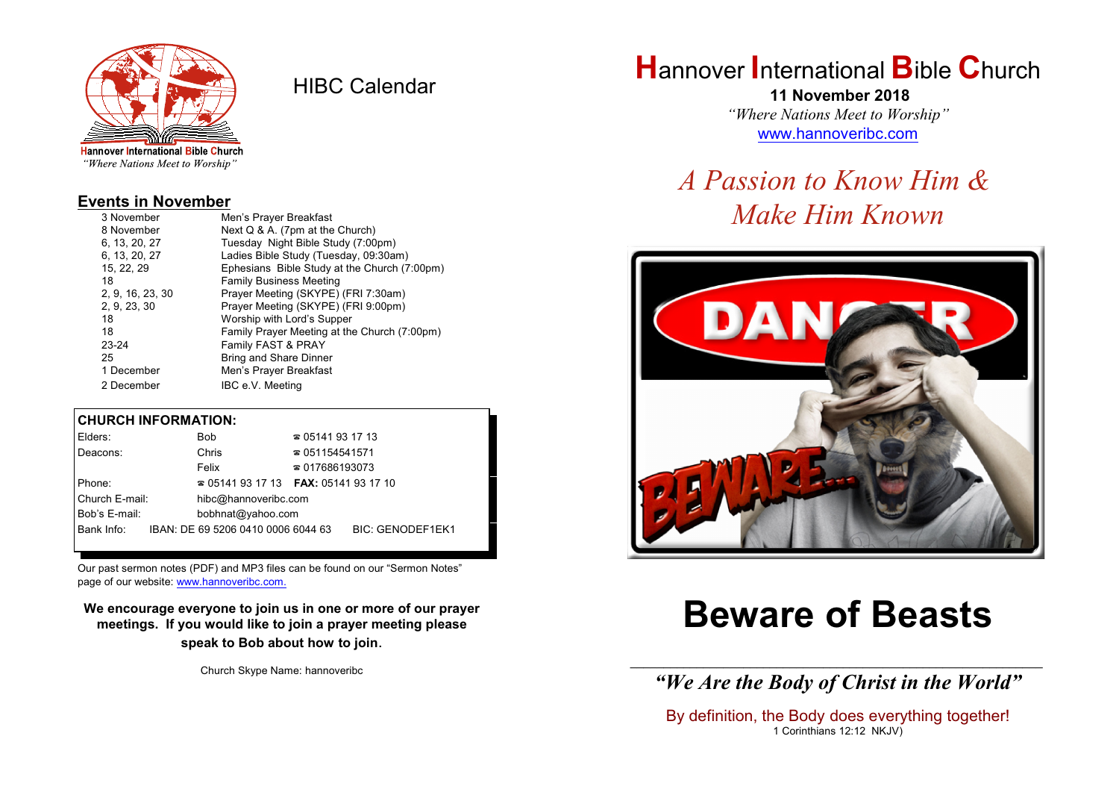

HIBC Calendar

"Where Nations Meet to Worship"

#### **Events in November**

| 3 November       | Men's Prayer Breakfast                       |
|------------------|----------------------------------------------|
| 8 November       | Next Q & A. (7pm at the Church)              |
| 6, 13, 20, 27    | Tuesday Night Bible Study (7:00pm)           |
| 6. 13. 20. 27    | Ladies Bible Study (Tuesday, 09:30am)        |
| 15, 22, 29       | Ephesians Bible Study at the Church (7:00pm) |
| 18               | <b>Family Business Meeting</b>               |
| 2, 9, 16, 23, 30 | Prayer Meeting (SKYPE) (FRI 7:30am)          |
| 2, 9, 23, 30     | Prayer Meeting (SKYPE) (FRI 9:00pm)          |
| 18               | Worship with Lord's Supper                   |
| 18               | Family Prayer Meeting at the Church (7:00pm) |
| 23-24            | Family FAST & PRAY                           |
| 25               | Bring and Share Dinner                       |
| 1 December       | Men's Prayer Breakfast                       |
| 2 December       | IBC e.V. Meeting                             |

#### **CHURCH INFORMATION:**

| Elders:        | <b>Bob</b>                               | $\approx 05141931713$  |                         |  |
|----------------|------------------------------------------|------------------------|-------------------------|--|
| Deacons:       | Chris                                    | $\approx 051154541571$ |                         |  |
|                | Felix                                    | $\approx 017686193073$ |                         |  |
| Phone:         | $\approx 05141931713$ FAX: 0514193 17 10 |                        |                         |  |
| Church E-mail: | hibc@hannoveribc.com                     |                        |                         |  |
| Bob's E-mail:  | bobhnat@yahoo.com                        |                        |                         |  |
| Bank Info:     | IBAN: DE 69 5206 0410 0006 6044 63       |                        | <b>BIC: GENODEF1EK1</b> |  |

Our past sermon notes (PDF) and MP3 files can be found on our "Sermon Notes" page of our website: [www.hannoveribc.com.](http://www.hannoveribc.com.)

**We encourage everyone to join us in one or more of our prayer meetings. If you would like to join a prayer meeting please speak to Bob about how to join**.

Church Skype Name: hannoveribc

## **H**annover **I**nternational **B**ible **C**hurch

 **11 November 2018** *"Where Nations Meet to Worship"* [www.hannoveribc.com](http://www.hannoveribc.com)

# *A Passion to Know Him & Make Him Known*



# **Beware of Beasts**

\_\_\_\_\_\_\_\_\_\_\_\_\_\_\_\_\_\_\_\_\_\_\_\_\_\_\_\_\_\_\_\_\_\_\_\_\_\_\_\_\_\_\_\_\_\_\_\_\_\_\_\_\_\_\_\_\_\_\_\_\_\_ *"We Are the Body of Christ in the World"*

By definition, the Body does everything together! 1 Corinthians 12:12 NKJV)